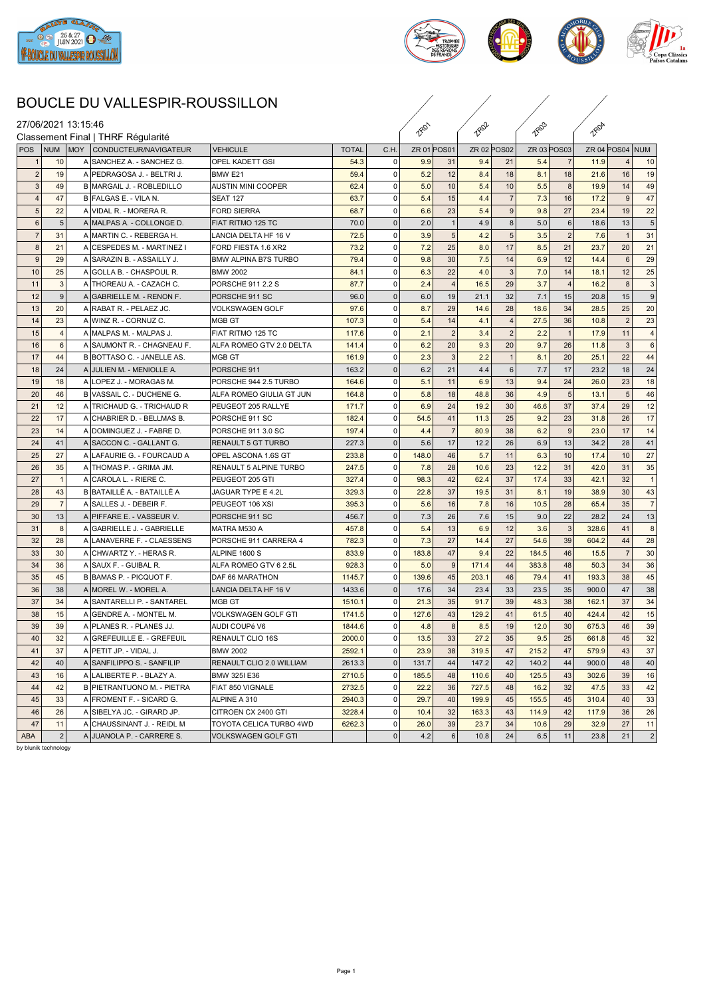



## BOUCLE DU VALLESPIR-ROUSSILLON

|                |                 |                | BOUCLE DU VALLESPIR-ROUSSILLON     |                             |              |                |             |                |             |                |                    |                |                 |                 |                |  |
|----------------|-----------------|----------------|------------------------------------|-----------------------------|--------------|----------------|-------------|----------------|-------------|----------------|--------------------|----------------|-----------------|-----------------|----------------|--|
|                |                 |                | 27/06/2021 13:15:46                |                             |              |                |             |                |             |                |                    |                |                 |                 |                |  |
|                |                 |                | Classement Final   THRF Régularité |                             |              |                | <b>2801</b> |                | <b>2802</b> |                | <b>TRO3</b>        |                | <b>1804</b>     |                 |                |  |
| <b>POS</b>     |                 | <b>NUM</b>     | MOY<br>CONDUCTEUR/NAVIGATEUR       | <b>VEHICULE</b>             | <b>TOTAL</b> | C.H.           | ZR 01 POS01 |                | ZR 02 POS02 |                | <b>ZR 03 POS03</b> |                | ZR 04 POS04 NUM |                 |                |  |
| -1             |                 | 10             | SANCHEZ A. - SANCHEZ G.<br>A       | <b>OPEL KADETT GSI</b>      | 54.3         | 0              | 9.9         | 31             | 9.4         | 21             | 5.4                | - 7            | 11.9            | 4               | 10             |  |
| $\overline{2}$ |                 | 19             | A PEDRAGOSA J. - BELTRI J.         | BMW <sub>E21</sub>          | 59.4         | 0              | 5.2         | 12             | 8.4         | 18             | 8.1                | 18             | 21.6            | 16              | 19             |  |
| $\mathbf{3}$   |                 | 49             | B MARGAIL J. - ROBLEDILLO          | <b>AUSTIN MINI COOPER</b>   | 62.4         | 0              | 5.0         | 10             | 5.4         | 10             | 5.5                | 8              | 19.9            | 14              | 49             |  |
| $\overline{4}$ |                 | 47             | B FALGAS E. - VILA N.              | <b>SEAT 127</b>             | 63.7         | 0              | 5.4         | 15             | 4.4         | $\overline{7}$ | 7.3                | 16             | 17.2            | 9               | 47             |  |
|                | $5\phantom{.0}$ | 22             | A VIDAL R. - MORERA R.             | <b>FORD SIERRA</b>          | 68.7         | 0              | 6.6         | 23             | 5.4         | $9\,$          | 9.8                | 27             | 23.4            | 19              | 22             |  |
|                | 6               | 5              | A MALPAS A. - COLLONGE D.          | FIAT RITMO 125 TC           | 70.0         | $\pmb{0}$      | 2.0         | $\mathbf{1}$   | 4.9         | 8              | 5.0                | 6              | 18.6            | 13              | $\overline{5}$ |  |
| $\overline{7}$ |                 | 31             | A MARTIN C. - REBERGA H.           | LANCIA DELTA HF 16 V        | 72.5         | 0              | 3.9         | 5 <sup>5</sup> | 4.2         | 5              | 3.5                | $\overline{2}$ | 7.6             | $\overline{1}$  | 31             |  |
|                | 8               | 21             | A CESPEDES M. - MARTINEZ I         | FORD FIESTA 1.6 XR2         | 73.2         | 0              | 7.2         | 25             | 8.0         | 17             | 8.5                | 21             | 23.7            | 20              | 21             |  |
| 9              |                 | 29             | A SARAZIN B. - ASSAILLY J.         | <b>BMW ALPINA B7S TURBO</b> | 79.4         | 0              | 9.8         | 30             | 7.5         | 14             | 6.9                | 12             | 14.4            | $6\phantom{1}6$ | 29             |  |
| 10             |                 | 25             | A GOLLA B. - CHASPOUL R.           | <b>BMW 2002</b>             | 84.1         | 0              | 6.3         | 22             | 4.0         | $\mathbf{3}$   | 7.0                | 14             | 18.1            | 12              | 25             |  |
| 11             |                 | 3              | A THOREAU A. - CAZACH C.           | PORSCHE 911 2.2 S           | 87.7         | $\mathbf 0$    | 2.4         | $\vert$        | 16.5        | 29             | 3.7                | $\overline{4}$ | 16.2            | 8               | 3              |  |
| 12             |                 | 9              | A GABRIELLE M. - RENON F.          | PORSCHE 911 SC              | 96.0         | $\mathsf 0$    | 6.0         | 19             | 21.1        | 32             | 7.1                | 15             | 20.8            | 15              | 9              |  |
| 13             |                 | 20             | A RABAT R. - PELAEZ JC.            | <b>VOLKSWAGEN GOLF</b>      | 97.6         | 0              | 8.7         | 29             | 14.6        | 28             | 18.6               | 34             | 28.5            | 25              | 20             |  |
| 14             |                 | 23             | A WINZ R. - CORNUZ C.              | MGB GT                      | 107.3        | $\mathbf 0$    | 5.4         | 14             | 4.1         | $\overline{4}$ | 27.5               | 36             | 10.8            | $\overline{2}$  | 23             |  |
| 15             |                 | $\overline{4}$ | A MALPAS M. - MALPAS J.            | FIAT RITMO 125 TC           | 117.6        | 0              | 2.1         | 2              | 3.4         | 2              | 2.2                | $\overline{1}$ | 17.9            | 11              | $\overline{4}$ |  |
| 16             |                 | 6              | A SAUMONT R. - CHAGNEAU F.         | ALFA ROMEO GTV 2.0 DELTA    | 141.4        | 0              | 6.2         | 20             | 9.3         | 20             | 9.7                | 26             | 11.8            | 3               | 6              |  |
| 17             |                 | 44             | B BOTTASO C. - JANELLE AS.         | MGB GT                      | 161.9        | 0              | 2.3         | 3              | 2.2         | $\overline{1}$ | 8.1                | 20             | 25.1            | 22              | 44             |  |
| 18             |                 | 24             | A JULIEN M. - MENIOLLE A.          | PORSCHE 911                 | 163.2        | $\mathsf 0$    | 6.2         | 21             | 4.4         | 6              | 7.7                | 17             | 23.2            | 18              | 24             |  |
| 19             |                 | 18             | A LOPEZ J. - MORAGAS M.            | PORSCHE 944 2.5 TURBO       | 164.6        | 0              | 5.1         | 11             | 6.9         | 13             | 9.4                | 24             | 26.0            | 23              | 18             |  |
| 20             |                 | 46             | B VASSAIL C. - DUCHENE G.          | ALFA ROMEO GIULIA GT JUN    | 164.8        | 0              | 5.8         | 18             | 48.8        | 36             | 4.9                | 5              | 13.1            | $5\phantom{.0}$ | 46             |  |
| 21             |                 | 12             | A TRICHAUD G. - TRICHAUD R         | PEUGEOT 205 RALLYE          | 171.7        | $\mathbf 0$    | 6.9         | 24             | 19.2        | 30             | 46.6               | 37             | 37.4            | 29              | 12             |  |
| 22             |                 | 17             | A CHABRIER D. - BELLMAS B.         | PORSCHE 911 SC              | 182.4        | 0              | 54.5        | 41             | 11.3        | 25             | 9.2                | 23             | 31.8            | 26              | 17             |  |
| 23             |                 | 14             | A DOMINGUEZ J. - FABRE D.          | PORSCHE 911 3.0 SC          | 197.4        | $\mathbf 0$    | 4.4         | $\overline{7}$ | 80.9        | 38             | 6.2                | 9              | 23.0            | 17              | 14             |  |
| 24             |                 | 41             | A SACCON C. - GALLANT G.           | <b>RENAULT 5 GT TURBO</b>   | 227.3        | $\mathsf 0$    | 5.6         | 17             | 12.2        | 26             | 6.9                | 13             | 34.2            | 28              | 41             |  |
| 25             |                 | 27             | A LAFAURIE G. - FOURCAUD A         | OPEL ASCONA 1.6S GT         | 233.8        | $\mathbf 0$    | 148.0       | 46             | 5.7         | 11             | 6.3                | 10             | 17.4            | 10              | 27             |  |
| 26             |                 | 35             | A THOMAS P. - GRIMA JM.            | RENAULT 5 ALPINE TURBO      | 247.5        | 0              | 7.8         | 28             | 10.6        | 23             | 12.2               | 31             | 42.0            | 31              | 35             |  |
| 27             |                 | $\overline{1}$ | A CAROLA L. - RIERE C.             | PEUGEOT 205 GTI             | 327.4        | 0              | 98.3        | 42             | 62.4        | 37             | 17.4               | 33             | 42.1            | 32              | $\overline{1}$ |  |
| 28             |                 | 43             | B BATAILLÉ A. - BATAILLÉ A         | JAGUAR TYPE E 4.2L          | 329.3        | $\mathbf 0$    | 22.8        | 37             | 19.5        | 31             | 8.1                | 19             | 38.9            | 30              | 43             |  |
| 29             |                 | $\overline{7}$ | A SALLES J. - DEBEIR F.            | PEUGEOT 106 XSI             | 395.3        | $\mathbf 0$    | 5.6         | 16             | 7.8         | 16             | 10.5               | 28             | 65.4            | 35              | $\overline{7}$ |  |
| 30             |                 | 13             | A PIFFARE E. - VASSEUR V.          | PORSCHE 911 SC              | 456.7        | $\mathbf 0$    | 7.3         | 26             | 7.6         | 15             | 9.0                | 22             | 28.2            | 24              | 13             |  |
| 31             |                 | 8              | A GABRIELLE J. - GABRIELLE         | MATRA M530 A                | 457.8        | 0              | 5.4         | 13             | 6.9         | 12             | 3.6                | 3              | 328.6           | 41              | 8              |  |
| 32             |                 | 28             | A LANAVERRE F. - CLAESSENS         | PORSCHE 911 CARRERA 4       | 782.3        | $\mathbf 0$    | 7.3         | 27             | 14.4        | 27             | 54.6               | 39             | 604.2           | 44              | 28             |  |
| 33             |                 | 30             | A CHWARTZ Y. - HERAS R.            | ALPINE 1600 S               | 833.9        | 0              | 183.8       | 47             | 9.4         | 22             | 184.5              | 46             | 15.5            | $\overline{7}$  | 30             |  |
| 34             |                 | 36             | A SAUX F. - GUIBAL R.              | ALFA ROMEO GTV 6 2.5L       | 928.3        | 0              | 5.0         | 9              | 171.4       | 44             | 383.8              | 48             | 50.3            | 34              | 36             |  |
| 35             |                 | 45             | B BAMAS P. - PICQUOT F.            | DAF 66 MARATHON             | 1145.7       | $\mathbf 0$    | 139.6       | 45             | 203.1       | 46             | 79.4               | 41             | 193.3           | 38              | 45             |  |
| 36             |                 | 38             | A MOREL W. - MOREL A.              | LANCIA DELTA HF 16 V        | 1433.6       | $\mathsf 0$    | 17.6        | 34             | 23.4        | 33             | 23.5               | 35             | 900.0           | 47              | 38             |  |
| 37             |                 | 34             | A SANTARELLI P. - SANTAREL         | MGB GT                      | 1510.1       | $\overline{0}$ | 21.3        | 35             | 91.7        | 39             | 48.3               | 38             | 162.1           | 37              | 34             |  |
| 38             |                 | 15             | A GENDRE A. - MONTEL M.            | VOLKSWAGEN GOLF GTI         | 1741.5       | $\mathsf 0$    | 127.6       | 43             | 129.2       | 41             | 61.5               | 40             | 424.4           | 42              | 15             |  |
| 39             |                 | 39             | A PLANES R. - PLANES JJ.           | AUDI COUPé V6               | 1844.6       | $\mathbf 0$    | 4.8         |                | 8.5         | 19             | 12.0               | 30             | 675.3           | 46              | 39             |  |
| 40             |                 | 32             | A GREFEUILLE E. - GREFEUIL         | RENAULT CLIO 16S            | 2000.0       | 0              | 13.5        | 33             | 27.2        | 35             | 9.5                | 25             | 661.8           | 45              | 32             |  |
| 41             |                 | 37             | A PETIT JP. - VIDAL J.             | <b>BMW 2002</b>             | 2592.1       | 0              | 23.9        | 38             | 319.5       | 47             | 215.2              | 47             | 579.9           | 43              | 37             |  |
| 42             |                 | 40             | A SANFILIPPO S. - SANFILIP         | RENAULT CLIO 2.0 WILLIAM    | 2613.3       | $\mathbf 0$    | 131.7       | 44             | 147.2       | 42             | 140.2              | 44             | 900.0           | 48              | 40             |  |
| 43             |                 | 16             | A LALIBERTE P. - BLAZY A.          | BMW 325I E36                | 2710.5       | 0              | 185.5       | 48             | 110.6       | 40             | 125.5              | 43             | 302.6           | 39              | 16             |  |
| 44             |                 | 42             | B PIETRANTUONO M. - PIETRA         | FIAT 850 VIGNALE            | 2732.5       | $\mathbf 0$    | 22.2        | 36             | 727.5       | 48             | 16.2               | 32             | 47.5            | 33              | 42             |  |
| 45             |                 | 33             | A FROMENT F. - SICARD G.           | ALPINE A 310                | 2940.3       | $\mathbf 0$    | 29.7        | 40             | 199.9       | 45             | 155.5              | 45             | 310.4           | 40              | 33             |  |
| 46             |                 | 26             | A SIBELYA JC. - GIRARD JP.         | CITROEN CX 2400 GTI         | 3228.4       | 0              | 10.4        | 32             | 163.3       | 43             | 114.9              | 42             | 117.9           | 36              | 26             |  |
| 47             |                 | 11             | A CHAUSSINANT J. - REIDL M         | TOYOTA CELICA TURBO 4WD     | 6262.3       | 0              | 26.0        | 39             | 23.7        | 34             | 10.6               | 29             | 32.9            | 27              | 11             |  |
| ABA            |                 | $\overline{2}$ | A JUANOLA P. - CARRERE S.          | VOLKSWAGEN GOLF GTI         |              | $\mathbf 0$    | 4.2         | 6              | 10.8        | 24             | 6.5                | 11             | 23.8            | 21              | $\vert$ 2      |  |
|                |                 |                |                                    |                             |              |                |             |                |             |                |                    |                |                 |                 |                |  |

by blunik technology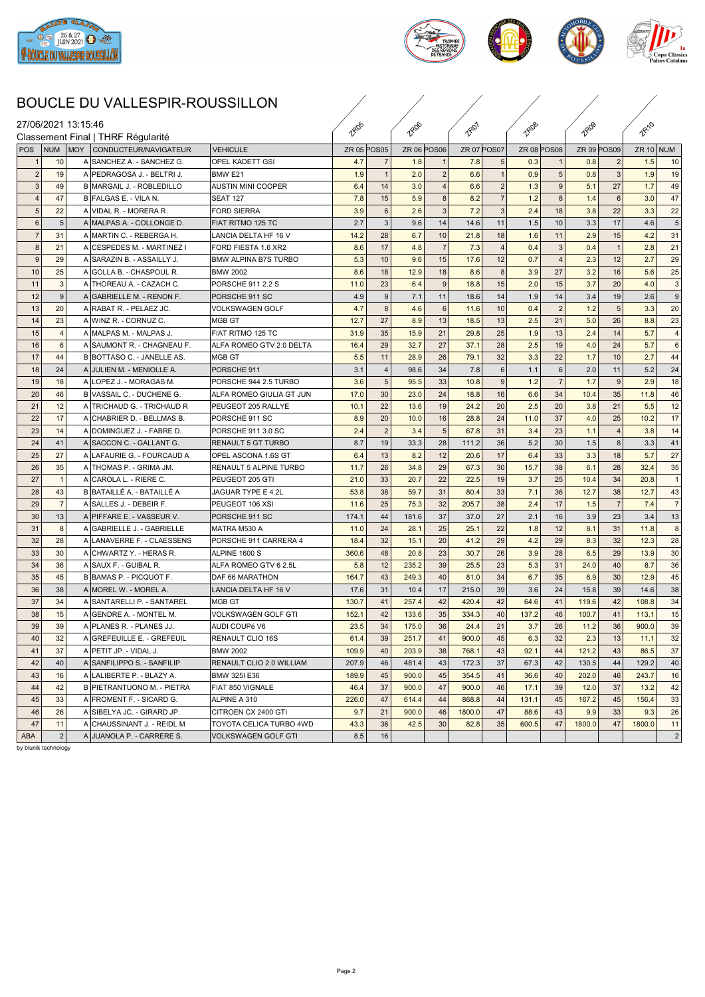



## BOUCLE DU VALLESPIR-ROUSSILLON

|                     |                |                |     | BOUCLE DU VALLESPIR-ROUSSILLON                  |                               |                    |                |                    |                |                    |                |             |                |             |                       |             |                |
|---------------------|----------------|----------------|-----|-------------------------------------------------|-------------------------------|--------------------|----------------|--------------------|----------------|--------------------|----------------|-------------|----------------|-------------|-----------------------|-------------|----------------|
| 27/06/2021 13:15:46 |                |                |     | Classement Final   THRF Régularité              |                               | 1805               |                | <b>TROB</b>        |                | <b>Reg1</b>        |                | <b>TROB</b> |                | <b>TRO9</b> |                       | <b>RA10</b> |                |
| <b>POS</b>          |                | NUM            | MOY | CONDUCTEUR/NAVIGATEUR                           | <b>VEHICULE</b>               | <b>ZR 05 POS05</b> |                | <b>ZR 06 POS06</b> |                | <b>ZR 07 POS07</b> |                | ZR 08 POS08 |                | ZR 09 POS09 |                       | $ZR 10$ NUM |                |
|                     |                | 10             |     | A SANCHEZ A. - SANCHEZ G.                       | <b>OPEL KADETT GSI</b>        | 4.7                | -7             | 1.8                |                | 7.8                |                | 0.3         |                | 0.8         | $\overline{2}$        | 1.5         | 10             |
| $\overline{2}$      |                | 19             |     | A PEDRAGOSA J. - BELTRI J.                      | BMW <sub>E21</sub>            | 1.9                |                | 2.0                |                | 6.6                |                | 0.9         | 5              | 0.8         | 3                     | 1.9         | 19             |
| 3                   |                | 49             |     | B MARGAIL J. - ROBLEDILLO                       | AUSTIN MINI COOPER            | 6.4                | 14             | 3.0                | $\overline{4}$ | 6.6                | $\overline{2}$ | 1.3         | 9              | 5.1         | 27                    | 1.7         | 49             |
| $\overline{4}$      |                | 47             |     | B FALGAS E. - VILA N.                           | <b>SEAT 127</b>               | 7.8                | 15             | 5.9                | 8 <sup>1</sup> | 8.2                | $\overline{7}$ | 1.2         | 8 <sup>1</sup> | 1.4         | $6\phantom{1}$        | 3.0         | 47             |
|                     | 5 <sub>5</sub> | 22             |     | A VIDAL R. - MORERA R.                          | <b>FORD SIERRA</b>            | 3.9                | 6              | 2.6                | 3 <sup>1</sup> | 7.2                | 3              | 2.4         | 18             | 3.8         | 22                    | 3.3         | 22             |
| 6                   |                | $\overline{5}$ |     | A MALPAS A. - COLLONGE D                        | FIAT RITMO 125 TC             | 2.7                | -3             | 9.6                | 14             | 14.6               | 11             | 1.5         | 10             | 3.3         | 17                    | 4.6         | 5              |
| $\overline{7}$      |                | 31             |     | A MARTIN C. - REBERGA H.                        | LANCIA DELTA HF 16 V          | 14.2               | 28             | 6.7                | 10             | 21.8               | 18             | 1.6         | 11             | 2.9         | 15                    | 4.2         | 31             |
| $\boldsymbol{8}$    |                | 21             |     | A CESPEDES M. - MARTINEZ I                      | FORD FIESTA 1.6 XR2           | 8.6                | 17             | 4.8                | $\overline{7}$ | 7.3                |                | 0.4         | 3 <sup>1</sup> | 0.4         | $\overline{1}$        | 2.8         | 21             |
| 9                   |                | 29             |     | A SARAZIN B. - ASSAILLY J.                      | BMW ALPINA B7S TURBO          | 5.3                | 10             | 9.6                | 15             | 17.6               | 12             | 0.7         | $\overline{4}$ | 2.3         | 12                    | 2.7         | 29             |
| 10                  |                | 25             |     | A GOLLA B. - CHASPOUL R.                        | <b>BMW 2002</b>               | 8.6                | 18             | 12.9               | 18             | 8.6                | 8              | 3.9         | 27             | 3.2         | 16                    | 5.6         | 25             |
| 11                  |                | 3              |     | A THOREAU A. - CAZACH C.                        | PORSCHE 911 2.2 S             | 11.0               | 23             | 6.4                | 9              | 18.8               | 15             | 2.0         | 15             | 3.7         | 20                    | 4.0         | 3              |
|                     |                | 9              |     |                                                 |                               |                    |                |                    |                |                    |                |             |                |             |                       |             | 9              |
| 12                  |                | 20             |     | A GABRIELLE M. - RENON F.                       | PORSCHE 911 SC                | 4.9                | 9<br>-8        | 7.1                | 11<br>6        | 18.6<br>11.6       | 14             | 1.9         | 14<br>2        | 3.4<br>1.2  | 19<br>$5\phantom{.0}$ | 2.6<br>3.3  |                |
| 13                  |                |                |     | A RABAT R. - PELAEZ JC.                         | <b>VOLKSWAGEN GOLF</b>        | 4.7                |                | 4.6                |                |                    | 10             | 0.4         |                |             |                       |             | 20             |
| 14                  |                | 23             |     | A WINZ R. - CORNUZ C.<br>A MALPAS M. - MALPAS J | IMGB GT                       | 12.7               | 27             | 8.9                | 13             | 18.5               | 13             | 2.5         | 21             | 5.0         | 26                    | 8.8         | 23             |
| 15                  |                | $\overline{4}$ |     |                                                 | FIAT RITMO 125 TC             | 31.9               | 35             | 15.9               | 21             | 29.8               | 25             | 1.9         | 13             | 2.4         | 14                    | 5.7         |                |
| 16                  |                | 6              |     | A SAUMONT R. - CHAGNEAU F.                      | ALFA ROMEO GTV 2.0 DELTA      | 16.4               | 29             | 32.7               | 27             | 37.1               | 28             | 2.5         | 19             | 4.0         | 24                    | 5.7         | 6              |
| 17                  |                | 44             |     | B BOTTASO C. - JANELLE AS                       | IMGB GT                       | 5.5                | 11             | 28.9               | 26             | 79.1               | 32             | 3.3         | 22             | 1.7         | 10                    | 2.7         | 44             |
| 18                  |                | 24             |     | A JULIEN M. - MENIOLLE A.                       | PORSCHE 911                   | 3.1                |                | 98.6               | 34             | 7.8                | 6              | 1.1         | 6              | 2.0         | 11                    | 5.2         | 24             |
| 19                  |                | 18             |     | A LOPEZ J. - MORAGAS M.                         | PORSCHE 944 2.5 TURBO         | 3.6                | 5              | 95.5               | 33             | 10.8               | 9              | 1.2         | $\overline{7}$ | 1.7         | 9                     | 2.9         | 18             |
| 20                  |                | 46             |     | B VASSAIL C. - DUCHENE G.                       | ALFA ROMEO GIULIA GT JUN      | 17.0               | 30             | 23.0               | 24             | 18.8               | 16             | 6.6         | 34             | 10.4        | 35                    | 11.8        | 46             |
| 21                  |                | 12             |     | A TRICHAUD G. - TRICHAUD R                      | PEUGEOT 205 RALLYE            | 10.1               | 22             | 13.6               | 19             | 24.2               | 20             | 2.5         | 20             | 3.8         | 21                    | 5.5         | 12             |
| 22                  |                | 17             |     | A CHABRIER D. - BELLMAS B.                      | PORSCHE 911 SC                | 8.9                | 20             | 10.0               | 16             | 28.8               | 24             | 11.0        | 37             | 4.0         | 25                    | 10.2        | 17             |
| 23                  |                | 14             |     | A DOMINGUEZ J. - FABRE D.                       | PORSCHE 911 3.0 SC            | 2.4                | $\overline{2}$ | 3.4                | 5              | 67.8               | 31             | 3.4         | 23             | 1.1         | $\overline{4}$        | 3.8         | 14             |
| 24                  |                | 41             |     | A SACCON C. - GALLANT G.                        | <b>RENAULT 5 GT TURBO</b>     | 8.7                | 19             | 33.3               | 28             | 111.2              | 36             | 5.2         | 30             | 1.5         | 8                     | 3.3         | 41             |
| 25                  |                | 27             |     | A LAFAURIE G. - FOURCAUD A                      | OPEL ASCONA 1.6S GT           | 6.4                | 13             | 8.2                | 12             | 20.6               | 17             | 6.4         | 33             | 3.3         | 18                    | 5.7         | 27             |
| 26                  |                | 35             |     | A THOMAS P. - GRIMA JM.                         | <b>RENAULT 5 ALPINE TURBO</b> | 11.7               | 26             | 34.8               | 29             | 67.3               | 30             | 15.7        | 38             | 6.1         | 28                    | 32.4        | 35             |
| 27                  |                |                |     | A CAROLA L. - RIERE C.                          | PEUGEOT 205 GTI               | 21.0               | 33             | 20.7               | 22             | 22.5               | 19             | 3.7         | 25             | 10.4        | 34                    | 20.8        |                |
| 28                  |                | 43             |     | B BATAILLÉ A. - BATAILLÉ A                      | JAGUAR TYPE E 4.2L            | 53.8               | 38             | 59.7               | 31             | 80.4               | 33             | 7.1         | 36             | 12.7        | 38                    | 12.7        | 43             |
| 29                  |                | $\overline{7}$ |     | A SALLES J. - DEBEIR F.                         | PEUGEOT 106 XSI               | 11.6               | 25             | 75.3               | 32             | 205.7              | 38             | 2.4         | 17             | 1.5         | $\overline{7}$        | 7.4         | $\overline{7}$ |
| 30                  |                | 13             |     | A PIFFARE E. - VASSEUR V.                       | PORSCHE 911 SC                | 174.1              | 44             | 181.6              | 37             | 37.0               | 27             | 2.1         | 16             | 3.9         | 23                    | 3.4         | 13             |
| 31                  |                | 8              |     | A GABRIELLE J. - GABRIELLE                      | MATRA M530 A                  | 11.0               | 24             | 28.1               | 25             | 25.1               | 22             | 1.8         | 12             | 8.1         | 31                    | 11.8        | 8              |
| 32                  |                | 28             |     | A LANAVERRE F. - CLAESSENS                      | PORSCHE 911 CARRERA 4         | 18.4               | 32             | 15.1               | 20             | 41.2               | 29             | 4.2         | 29             | 8.3         | 32                    | 12.3        | 28             |
| 33                  |                | 30             |     | A CHWARTZ Y. - HERAS R.                         | ALPINE 1600 S                 | 360.6              | 48             | 20.8               | 23             | 30.7               | 26             | 3.9         | 28             | 6.5         | 29                    | 13.9        | 30             |
| 34                  |                | 36             |     | A SAUX F. - GUIBAL R.                           | ALFA ROMEO GTV 6 2.5L         | 5.8                | 12             | 235.2              | 39             | 25.5               | 23             | 5.3         | 31             | 24.0        | 40                    | 8.7         | 36             |
| 35                  |                | 45             |     | B BAMAS P. - PICQUOT F.                         | <b>DAF 66 MARATHON</b>        | 164.7              | 43             | 249.3              | 40             | 81.0               | 34             | 6.7         | 35             | 6.9         | 30                    | 12.9        | 45             |
| 36                  |                | 38             |     | A MOREL W. - MOREL A.                           | LANCIA DELTA HF 16 V          | 17.6               | 31             | 10.4               | 17             | 215.0              | 39             | 3.6         | 24             | 15.8        | 39                    | 14.6        | 38             |
| 37                  |                | 34             |     | A SANTARELLI P. - SANTAREL                      | MGB GT                        | 130.7              | 41             | 257.4              | 42             | 420.4              | 42             | 64.6        | 41             | 119.6       | 42                    | 108.8       | 34             |
| 38                  |                | 15             |     | A GENDRE A. - MONTEL M.                         | VOLKSWAGEN GOLF GTI           | 152.1              | 42             | 133.6              | 35             | 334.3              | 40             | 137.2       | 46             | 100.7       | 41                    | 113.1       | 15             |
| 39                  |                | 39             |     | A PLANES R. - PLANES JJ.                        | AUDI COUPé V6                 | 23.5               | 34             | 175.0              | 36             | 24.4               | 21             | 3.7         | 26             | 11.2        | 36                    | 900.0       | 39             |
| 40                  |                | 32             |     | A GREFEUILLE E. - GREFEUIL                      | RENAULT CLIO 16S              | 61.4               | 39             | 251.7              | 41             | 900.0              | 45             | 6.3         | 32             | 2.3         | 13                    | 11.1        | 32             |
| 41                  |                | 37             |     | A PETIT JP. - VIDAL J.                          | BMW 2002                      | 109.9              | 40             | 203.9              | 38             | 768.1              | 43             | 92.1        | 44             | 121.2       | 43                    | 86.5        | 37             |
| 42                  |                | 40             |     | A SANFILIPPO S. - SANFILIP                      | RENAULT CLIO 2.0 WILLIAM      | 207.9              | 46             | 481.4              | 43             | 172.3              | 37             | 67.3        | 42             | 130.5       | 44                    | 129.2       | 40             |
| 43                  |                | 16             |     | A LALIBERTE P. - BLAZY A.                       | <b>BMW 325I E36</b>           | 189.9              | 45             | 900.0              | 45             | 354.5              | 41             | 36.6        | 40             | 202.0       | 46                    | 243.7       | 16             |
| 44                  |                | 42             |     | B PIETRANTUONO M. - PIETRA                      | FIAT 850 VIGNALE              | 46.4               | 37             | 900.0              | 47             | 900.0              | 46             | 17.1        | 39             | 12.0        | 37                    | 13.2        | 42             |
| 45                  |                | 33             |     | A FROMENT F. - SICARD G.                        | ALPINE A 310                  | 226.0              | 47             | 614.4              | 44             | 868.8              | 44             | 131.1       | 45             | 167.2       | 45                    | 156.4       | 33             |
| 46                  |                | 26             |     | A SIBELYA JC. - GIRARD JP.                      | CITROEN CX 2400 GTI           | 9.7                | 21             | 900.0              | 46             | 1800.0             | 47             | 88.6        | 43             | 9.9         | 33                    | 9.3         | 26             |
| 47                  |                | 11             |     | A CHAUSSINANT J. - REIDL M                      | TOYOTA CELICA TURBO 4WD       | 43.3               | 36             | 42.5               | 30             | 82.8               | 35             | 600.5       | 47             | 1800.0      | 47                    | 1800.0      | 11             |
| <b>ABA</b>          |                | $\overline{2}$ |     | A JUANOLA P. - CARRERE S.                       | VOLKSWAGEN GOLF GTI           | 8.5                | 16             |                    |                |                    |                |             |                |             |                       |             | $\overline{2}$ |
|                     |                |                |     |                                                 |                               |                    |                |                    |                |                    |                |             |                |             |                       |             |                |

by blunik technology